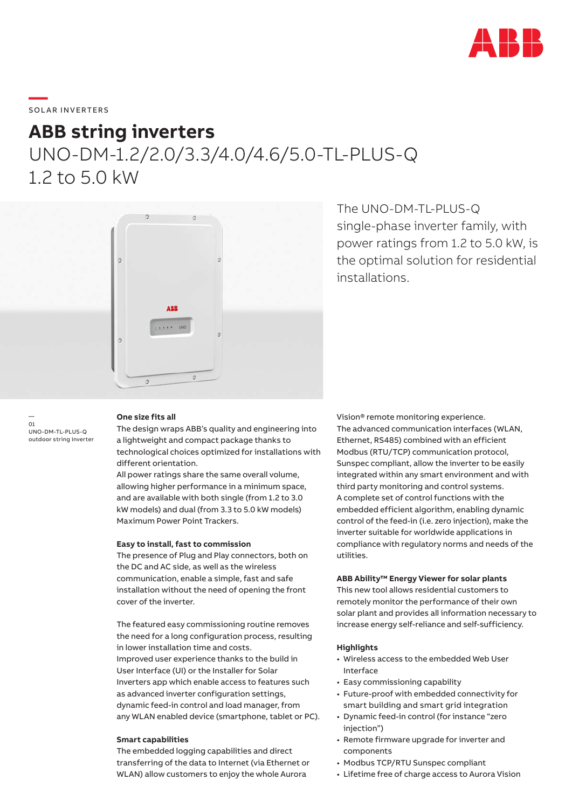

# \_\_\_\_\_<br>SOLAR INVERTERS

## **ABB string inverters**

UNO-DM-1.2/2.0/3.3/4.0/4.6/5.0-TL-PLUS-Q 1.2 to 5.0 kW



The UNO-DM-TL-PLUS-Q single-phase inverter family, with power ratings from 1.2 to 5.0 kW, is the optimal solution for residential installations.

#### — 01 UNO-DM-TL-PLUS-Q outdoor string inverter

## **One size fits all**

The design wraps ABB's quality and engineering into a lightweight and compact package thanks to technological choices optimized for installations with different orientation.

All power ratings share the same overall volume, allowing higher performance in a minimum space, and are available with both single (from 1.2 to 3.0 kW models) and dual (from 3.3 to 5.0 kW models) Maximum Power Point Trackers.

## **Easy to install, fast to commission**

The presence of Plug and Play connectors, both on the DC and AC side, as well as the wireless communication, enable a simple, fast and safe installation without the need of opening the front cover of the inverter.

The featured easy commissioning routine removes the need for a long configuration process, resulting in lower installation time and costs. Improved user experience thanks to the build in User Interface (UI) or the Installer for Solar Inverters app which enable access to features such as advanced inverter configuration settings, dynamic feed-in control and load manager, from any WLAN enabled device (smartphone, tablet or PC).

## **Smart capabilities**

The embedded logging capabilities and direct transferring of the data to Internet (via Ethernet or WLAN) allow customers to enjoy the whole Aurora

Vision® remote monitoring experience. The advanced communication interfaces (WLAN, Ethernet, RS485) combined with an efficient Modbus (RTU/TCP) communication protocol, Sunspec compliant, allow the inverter to be easily integrated within any smart environment and with third party monitoring and control systems. A complete set of control functions with the embedded efficient algorithm, enabling dynamic control of the feed-in (i.e. zero injection), make the inverter suitable for worldwide applications in compliance with regulatory norms and needs of the utilities.

### **ABB Ability™ Energy Viewer for solar plants**

This new tool allows residential customers to remotely monitor the performance of their own solar plant and provides all information necessary to increase energy self-reliance and self-sufficiency.

### **Highlights**

- Wireless access to the embedded Web User Interface
- Easy commissioning capability
- Future-proof with embedded connectivity for smart building and smart grid integration
- Dynamic feed-in control (for instance "zero injection")
- Remote firmware upgrade for inverter and components
- Modbus TCP/RTU Sunspec compliant
- Lifetime free of charge access to Aurora Vision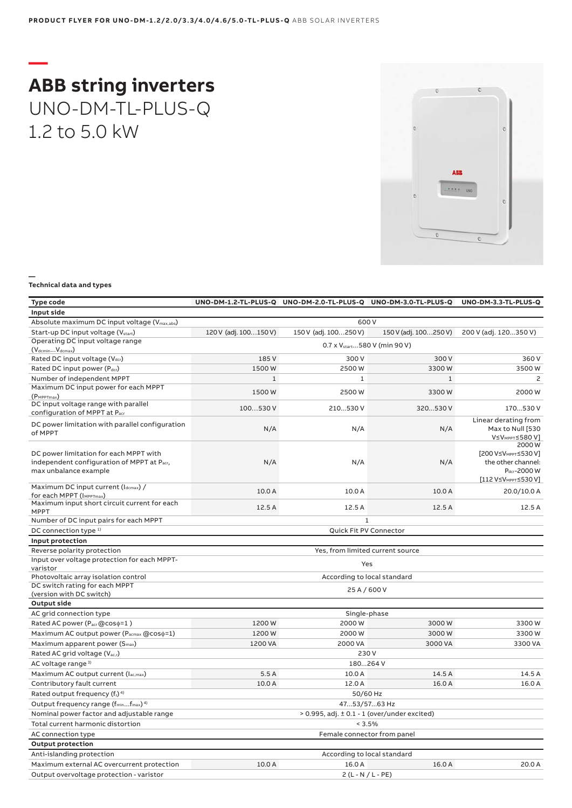## **— ABB string inverters** UNO-DM-TL-PLUS-Q 1.2 to 5.0 kW



### **— Technical data and types**

| <b>Type code</b>                                                                                              |                                                     | UNO-DM-1.2-TL-PLUS-Q UNO-DM-2.0-TL-PLUS-Q UNO-DM-3.0-TL-PLUS-Q |                       | UNO-DM-3.3-TL-PLUS-Q                                                                                                            |  |
|---------------------------------------------------------------------------------------------------------------|-----------------------------------------------------|----------------------------------------------------------------|-----------------------|---------------------------------------------------------------------------------------------------------------------------------|--|
| Input side                                                                                                    |                                                     |                                                                |                       |                                                                                                                                 |  |
| Absolute maximum DC input voltage (Vmax,abs)                                                                  | 600V                                                |                                                                |                       |                                                                                                                                 |  |
| Start-up DC input voltage (V <sub>start</sub> )                                                               | 120 V (adj. 100150 V)                               | 150 V (adj. 100250 V)                                          | 150 V (adj. 100250 V) | 200 V (adj. 120350 V)                                                                                                           |  |
| Operating DC input voltage range<br>$(VdcminVdcmax)$                                                          |                                                     | 0.7 x V <sub>start</sub> 580 V (min 90 V)                      |                       |                                                                                                                                 |  |
| Rated DC input voltage (Vdcr)                                                                                 | 185 V                                               | 300V                                                           | 300 V                 | 360 V                                                                                                                           |  |
| Rated DC input power (Pdcr)                                                                                   | 1500W                                               | 2500W                                                          | 3300W                 | 3500W                                                                                                                           |  |
| Number of independent MPPT                                                                                    | $\mathbf{1}$                                        | $\mathbf{1}$                                                   | $\mathbf{1}$          | 2                                                                                                                               |  |
| Maximum DC input power for each MPPT<br>$(P_{MPPTmax})$                                                       | 1500W                                               | 2500W                                                          | 3300W                 | 2000 W                                                                                                                          |  |
| DC input voltage range with parallel<br>configuration of MPPT at Pacr                                         | 100530V                                             | 210530V                                                        | 320530 V              | 170530 V                                                                                                                        |  |
| DC power limitation with parallel configuration<br>of MPPT                                                    | N/A                                                 | N/A                                                            | N/A                   | Linear derating from<br>Max to Null [530<br>V≤V <sub>MPPT</sub> ≤580 V]                                                         |  |
| DC power limitation for each MPPT with<br>independent configuration of MPPT at Pacr,<br>max unbalance example | N/A                                                 | N/A                                                            | N/A                   | 2000W<br>[200 V≤V <sub>MPPT</sub> ≤530 V]<br>the other channel:<br>P <sub>dcr</sub> -2000 W<br>[112 V≤V <sub>MPPT</sub> ≤530 V] |  |
| Maximum DC input current (Idcmax) /                                                                           | 10.0 A                                              | 10.0 A                                                         | 10.0 A                | 20.0/10.0 A                                                                                                                     |  |
| for each MPPT (IMPPTmax)<br>Maximum input short circuit current for each<br><b>MPPT</b>                       | 12.5A                                               | 12.5 A                                                         | 12.5 A                | 12.5A                                                                                                                           |  |
| Number of DC input pairs for each MPPT                                                                        |                                                     | $\mathbf{1}$                                                   |                       |                                                                                                                                 |  |
| DC connection type <sup>1)</sup>                                                                              |                                                     | Quick Fit PV Connector                                         |                       |                                                                                                                                 |  |
| Input protection                                                                                              |                                                     |                                                                |                       |                                                                                                                                 |  |
| Reverse polarity protection                                                                                   |                                                     | Yes, from limited current source                               |                       |                                                                                                                                 |  |
| Input over voltage protection for each MPPT-<br>varistor                                                      | Yes                                                 |                                                                |                       |                                                                                                                                 |  |
| Photovoltaic array isolation control                                                                          |                                                     | According to local standard                                    |                       |                                                                                                                                 |  |
| DC switch rating for each MPPT<br>(version with DC switch)                                                    |                                                     | 25 A / 600 V                                                   |                       |                                                                                                                                 |  |
| <b>Output side</b>                                                                                            |                                                     |                                                                |                       |                                                                                                                                 |  |
| AC grid connection type                                                                                       | Single-phase                                        |                                                                |                       |                                                                                                                                 |  |
| Rated AC power (Pacr@coso=1)                                                                                  | 1200W                                               | 2000W                                                          | 3000W                 | 3300W                                                                                                                           |  |
| Maximum AC output power (Pacmax @coso=1)                                                                      | 1200W                                               | 2000W                                                          | 3000W                 | 3300W                                                                                                                           |  |
| Maximum apparent power (S <sub>max</sub> )                                                                    | 1200 VA                                             | 2000 VA                                                        | 3000 VA               | 3300 VA                                                                                                                         |  |
| Rated AC grid voltage (V <sub>ac,r</sub> )                                                                    | 230V                                                |                                                                |                       |                                                                                                                                 |  |
| AC voltage range <sup>3)</sup>                                                                                | 180264 V                                            |                                                                |                       |                                                                                                                                 |  |
| Maximum AC output current (Iac, max)                                                                          | 5.5A                                                | 10.0 A                                                         | 14.5 A                | 14.5 A                                                                                                                          |  |
| Contributory fault current                                                                                    | 10.0 A                                              | 12.0 A                                                         | 16.0 A                | 16.0 A                                                                                                                          |  |
| Rated output frequency (f <sub>r</sub> ) <sup>4)</sup>                                                        |                                                     | 50/60 Hz                                                       |                       |                                                                                                                                 |  |
| Output frequency range (f <sub>min</sub> f <sub>max</sub> ) <sup>4)</sup>                                     | 4753/5763 Hz                                        |                                                                |                       |                                                                                                                                 |  |
| Nominal power factor and adjustable range                                                                     | $> 0.995$ , adj. $\pm 0.1 - 1$ (over/under excited) |                                                                |                       |                                                                                                                                 |  |
| Total current harmonic distortion                                                                             | < 3.5%                                              |                                                                |                       |                                                                                                                                 |  |
| AC connection type                                                                                            | Female connector from panel                         |                                                                |                       |                                                                                                                                 |  |
| <b>Output protection</b>                                                                                      |                                                     |                                                                |                       |                                                                                                                                 |  |
| Anti-islanding protection                                                                                     |                                                     | According to local standard                                    |                       |                                                                                                                                 |  |
| Maximum external AC overcurrent protection                                                                    | 10.0 A                                              | 16.0 A                                                         | 16.0 A                | 20.0 A                                                                                                                          |  |
| Output overvoltage protection - varistor                                                                      |                                                     | $2(L - N / L - PE)$                                            |                       |                                                                                                                                 |  |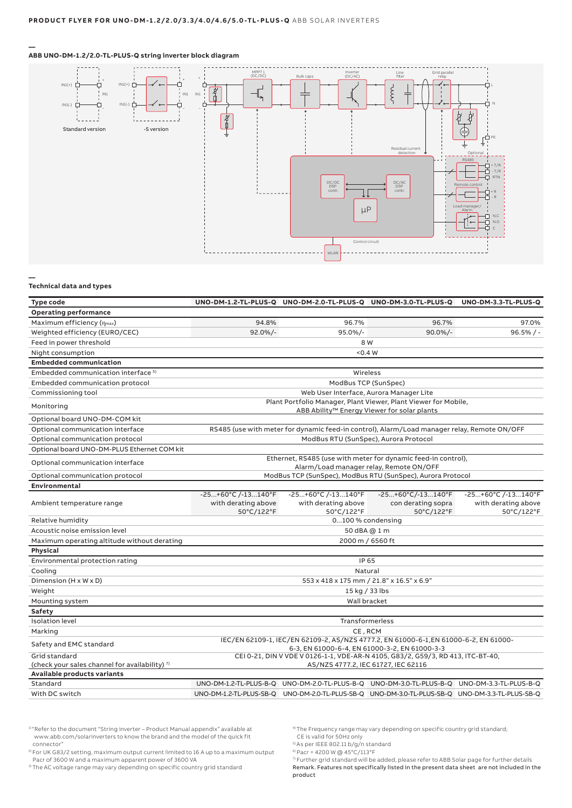### **ABB UNO-DM-1.2/2.0-TL-PLUS-Q string inverter block diagram**



#### **— Technical data and types**

**—**

| Type code                                                 |                                                                                                                                      |                                                           | UNO-DM-1.2-TL-PLUS-Q UNO-DM-2.0-TL-PLUS-Q UNO-DM-3.0-TL-PLUS-Q UNO-DM-3.3-TL-PLUS-Q             |                                                         |  |
|-----------------------------------------------------------|--------------------------------------------------------------------------------------------------------------------------------------|-----------------------------------------------------------|-------------------------------------------------------------------------------------------------|---------------------------------------------------------|--|
| <b>Operating performance</b>                              |                                                                                                                                      |                                                           |                                                                                                 |                                                         |  |
| Maximum efficiency $(\eta_{max})$                         | 94.8%                                                                                                                                | 96.7%                                                     | 96.7%                                                                                           | 97.0%                                                   |  |
| Weighted efficiency (EURO/CEC)                            | $92.0\%/$                                                                                                                            | 95.0%/-                                                   | $90.0\%/-$                                                                                      | $96.5%/ -$                                              |  |
| Feed in power threshold                                   |                                                                                                                                      | 8 W                                                       |                                                                                                 |                                                         |  |
| Night consumption                                         |                                                                                                                                      | 0.4 W                                                     |                                                                                                 |                                                         |  |
| <b>Embedded communication</b>                             |                                                                                                                                      |                                                           |                                                                                                 |                                                         |  |
| Embedded communication interface <sup>5)</sup>            |                                                                                                                                      | Wireless                                                  |                                                                                                 |                                                         |  |
| Embedded communication protocol                           | ModBus TCP (SunSpec)                                                                                                                 |                                                           |                                                                                                 |                                                         |  |
| Commissioning tool                                        | Web User Interface, Aurora Manager Lite                                                                                              |                                                           |                                                                                                 |                                                         |  |
| Monitoring                                                | Plant Portfolio Manager, Plant Viewer, Plant Viewer for Mobile,<br>ABB Ability <sup>™</sup> Energy Viewer for solar plants           |                                                           |                                                                                                 |                                                         |  |
| Optional board UNO-DM-COM kit                             |                                                                                                                                      |                                                           |                                                                                                 |                                                         |  |
| Optional communication interface                          |                                                                                                                                      |                                                           | RS485 (use with meter for dynamic feed-in control), Alarm/Load manager relay, Remote ON/OFF     |                                                         |  |
| Optional communication protocol                           |                                                                                                                                      | ModBus RTU (SunSpec), Aurora Protocol                     |                                                                                                 |                                                         |  |
| Optional board UNO-DM-PLUS Ethernet COM kit               |                                                                                                                                      |                                                           |                                                                                                 |                                                         |  |
| Optional communication interface                          | Ethernet, RS485 (use with meter for dynamic feed-in control),<br>Alarm/Load manager relay, Remote ON/OFF                             |                                                           |                                                                                                 |                                                         |  |
| Optional communication protocol                           | ModBus TCP (SunSpec), ModBus RTU (SunSpec), Aurora Protocol                                                                          |                                                           |                                                                                                 |                                                         |  |
| Environmental                                             |                                                                                                                                      |                                                           |                                                                                                 |                                                         |  |
| Ambient temperature range                                 | $-25+60°C$ /-13140°F<br>with derating above<br>50°C/122°F                                                                            | $-25+60°C/ -13140°F$<br>with derating above<br>50°C/122°F | -25+60°C/-13140°F<br>con derating sopra<br>50°C/122°F                                           | -25+60°C /-13140°F<br>with derating above<br>50°C/122°F |  |
| Relative humidity                                         | 0100 % condensing                                                                                                                    |                                                           |                                                                                                 |                                                         |  |
| Acoustic noise emission level                             |                                                                                                                                      | 50 dBA @ 1 m                                              |                                                                                                 |                                                         |  |
| Maximum operating altitude without derating               |                                                                                                                                      | 2000 m / 6560 ft                                          |                                                                                                 |                                                         |  |
| Physical                                                  |                                                                                                                                      |                                                           |                                                                                                 |                                                         |  |
| Environmental protection rating                           | IP 65                                                                                                                                |                                                           |                                                                                                 |                                                         |  |
| Cooling                                                   | Natural                                                                                                                              |                                                           |                                                                                                 |                                                         |  |
| Dimension (H x W x D)                                     | 553 x 418 x 175 mm / 21.8" x 16.5" x 6.9"                                                                                            |                                                           |                                                                                                 |                                                         |  |
| Weight                                                    | 15 kg / 33 lbs                                                                                                                       |                                                           |                                                                                                 |                                                         |  |
| Mounting system                                           | Wall bracket                                                                                                                         |                                                           |                                                                                                 |                                                         |  |
| Safety                                                    |                                                                                                                                      |                                                           |                                                                                                 |                                                         |  |
| <b>Isolation level</b>                                    | Transformerless                                                                                                                      |                                                           |                                                                                                 |                                                         |  |
| Marking                                                   | CE, RCM                                                                                                                              |                                                           |                                                                                                 |                                                         |  |
| Safety and EMC standard                                   | IEC/EN 62109-1, IEC/EN 62109-2, AS/NZS 4777.2, EN 61000-6-1,EN 61000-6-2, EN 61000-<br>6-3, EN 61000-6-4, EN 61000-3-2, EN 61000-3-3 |                                                           |                                                                                                 |                                                         |  |
| Grid standard                                             | CEI 0-21, DIN V VDE V 0126-1-1, VDE-AR-N 4105, G83/2, G59/3, RD 413, ITC-BT-40,                                                      |                                                           |                                                                                                 |                                                         |  |
| (check your sales channel for availability) <sup>7)</sup> | AS/NZS 4777.2, IEC 61727, IEC 62116                                                                                                  |                                                           |                                                                                                 |                                                         |  |
| Available products variants                               |                                                                                                                                      |                                                           |                                                                                                 |                                                         |  |
| Standard                                                  |                                                                                                                                      |                                                           | UNO-DM-1.2-TL-PLUS-B-Q UNO-DM-2.0-TL-PLUS-B-Q UNO-DM-3.0-TL-PLUS-B-Q UNO-DM-3.3-TL-PLUS-B-Q     |                                                         |  |
| With DC switch                                            |                                                                                                                                      |                                                           | UNO-DM-1.2-TL-PLUS-SB-Q UNO-DM-2.0-TL-PLUS-SB-Q UNO-DM-3.0-TL-PLUS-SB-Q UNO-DM-3.3-TL-PLUS-SB-Q |                                                         |  |

1) "Refer to the document "String inverter - Product Manual appendix" available at www.abb.com/solarinverters to know the brand and the model of the quick fit connector"

2) For UK G83/2 setting, maximum output current limited to 16 A up to a maximum output Pacr of 3600 W and a maximum apparent power of 3600 VA

3) The AC voltage range may vary depending on specific country grid standard

4) The Frequency range may vary depending on specific country grid standard;

7) Further grid standard will be added, please refer to ABB Solar page for further details

Remark. Features not specifically listed in the present data sheet are not included in the product

CE is valid for 50Hz only 5) As per IEEE 802.11 b/g/n standard

<sup>6)</sup> Pacr = 4200 W @ 45°C/113°F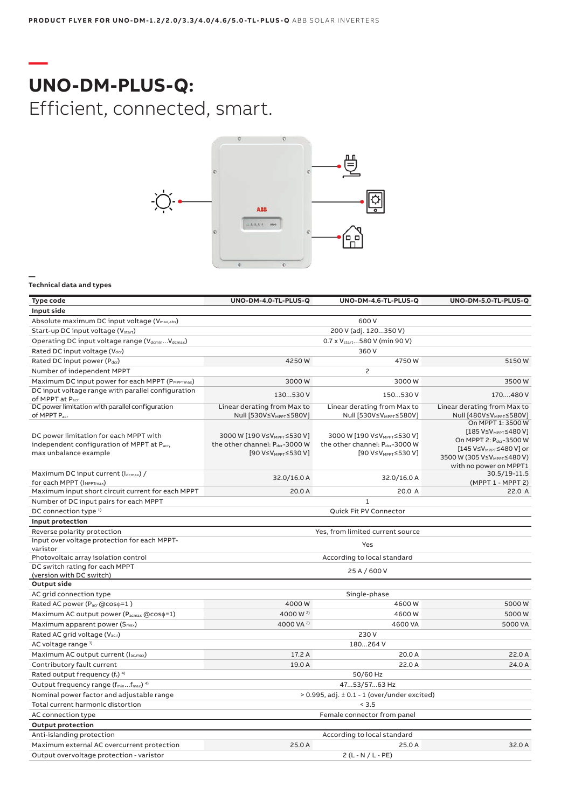## **— UNO-DM-PLUS-Q:** Efficient, connected, smart.



### **— Technical data and types**

| <b>Type code</b>                                                                  | UNO-DM-4.0-TL-PLUS-Q                                              | UNO-DM-4.6-TL-PLUS-Q                                              | UNO-DM-5.0-TL-PLUS-Q                                                                                      |  |
|-----------------------------------------------------------------------------------|-------------------------------------------------------------------|-------------------------------------------------------------------|-----------------------------------------------------------------------------------------------------------|--|
| Input side                                                                        |                                                                   |                                                                   |                                                                                                           |  |
| Absolute maximum DC input voltage (Vmax,abs)                                      |                                                                   | 600V                                                              |                                                                                                           |  |
| Start-up DC input voltage (Vstart)                                                | 200 V (adj. 120350 V)                                             |                                                                   |                                                                                                           |  |
| Operating DC input voltage range (VdcminVdcmax)                                   |                                                                   | 0.7 x V <sub>start.</sub> 580 V (min 90 V)                        |                                                                                                           |  |
| Rated DC input voltage (Vdcr)                                                     |                                                                   | 360 V                                                             |                                                                                                           |  |
| Rated DC input power (Pdcr)                                                       | 4250W                                                             | 4750W                                                             | 5150W                                                                                                     |  |
| Number of independent MPPT                                                        |                                                                   | 2                                                                 |                                                                                                           |  |
| Maximum DC input power for each MPPT (PMPPTmax)                                   | 3000W                                                             | 3000W                                                             | 3500W                                                                                                     |  |
| DC input voltage range with parallel configuration<br>of MPPT at P <sub>acr</sub> | 130530 V                                                          | 150530 V                                                          | 170480 V                                                                                                  |  |
| DC power limitation with parallel configuration                                   | Linear derating from Max to                                       | Linear derating from Max to                                       | Linear derating from Max to                                                                               |  |
| of MPPT Pacr<br>DC power limitation for each MPPT with                            | Null [530V≤VMPPT≤580V]<br>3000 W [190 V≤VMPPT≤530 V]              | Null [530V≤VMPPT≤580V]<br>3000 W [190 V≤VMPPT≤530 V]              | Null [480V≤VMPPT≤580V]<br>On MPPT 1: 3500 W<br>[185 V≤V <sub>MPPT</sub> ≤480 V]<br>On MPPT 2: Pdcr-3500 W |  |
| independent configuration of MPPT at Pacr,<br>max unbalance example               | the other channel: Pdcr-3000 W<br>[90 V≤V <sub>MPPT</sub> ≤530 V] | the other channel: Pdcr-3000 W<br>[90 V≤V <sub>MPPT</sub> ≤530 V] | [145 V≤V <sub>MPPT</sub> ≤480 V] or<br>3500 W (305 V≤VMPPT≤480 V)<br>with no power on MPPT1               |  |
| Maximum DC input current (Idcmax) /<br>for each MPPT (IMPPTmax)                   | 32.0/16.0 A                                                       | 32.0/16.0 A                                                       | 30.5/19-11.5<br>(MPPT 1 - MPPT 2)                                                                         |  |
| Maximum input short circuit current for each MPPT                                 | 20.0 A                                                            | 20.0 A                                                            | 22.0 A                                                                                                    |  |
| Number of DC input pairs for each MPPT                                            |                                                                   | $\mathbf{1}$                                                      |                                                                                                           |  |
| DC connection type 1)                                                             |                                                                   | Quick Fit PV Connector                                            |                                                                                                           |  |
| Input protection                                                                  |                                                                   |                                                                   |                                                                                                           |  |
| Reverse polarity protection                                                       |                                                                   | Yes, from limited current source                                  |                                                                                                           |  |
| Input over voltage protection for each MPPT-<br>varistor                          | Yes                                                               |                                                                   |                                                                                                           |  |
| Photovoltaic array isolation control                                              | According to local standard                                       |                                                                   |                                                                                                           |  |
| DC switch rating for each MPPT<br>(version with DC switch)                        |                                                                   | 25 A / 600 V                                                      |                                                                                                           |  |
| <b>Output side</b>                                                                |                                                                   |                                                                   |                                                                                                           |  |
| AC grid connection type                                                           |                                                                   | Single-phase                                                      |                                                                                                           |  |
| Rated AC power (Pacr @coso=1)                                                     | 4000W                                                             | 4600W                                                             | 5000W                                                                                                     |  |
| Maximum AC output power (P <sub>acmax</sub> @cos $\phi$ =1)                       | 4000 W <sup>2)</sup>                                              | 4600W                                                             | 5000W                                                                                                     |  |
| Maximum apparent power (S <sub>max</sub> )                                        | 4000 VA <sup>2)</sup>                                             | 4600 VA                                                           | 5000 VA                                                                                                   |  |
| Rated AC grid voltage (V <sub>ac,r</sub> )                                        | 230V                                                              |                                                                   |                                                                                                           |  |
| AC voltage range 3)                                                               | 180264 V                                                          |                                                                   |                                                                                                           |  |
| Maximum AC output current (lac,max)                                               | 17.2 A                                                            | 20.0 A                                                            | 22.0 A                                                                                                    |  |
| Contributory fault current                                                        | 19.0 A                                                            | 22.0 A                                                            | 24.0 A                                                                                                    |  |
| Rated output frequency (fr) 4)                                                    |                                                                   | 50/60 Hz                                                          |                                                                                                           |  |
| Output frequency range (f <sub>min</sub> f <sub>max</sub> ) <sup>4)</sup>         | 4753/5763 Hz                                                      |                                                                   |                                                                                                           |  |
| Nominal power factor and adjustable range                                         | $> 0.995$ , adj. $\pm 0.1 - 1$ (over/under excited)               |                                                                   |                                                                                                           |  |
| Total current harmonic distortion                                                 | < 3.5                                                             |                                                                   |                                                                                                           |  |
| AC connection type                                                                | Female connector from panel                                       |                                                                   |                                                                                                           |  |
| <b>Output protection</b>                                                          |                                                                   |                                                                   |                                                                                                           |  |
| Anti-islanding protection                                                         |                                                                   | According to local standard                                       |                                                                                                           |  |
| Maximum external AC overcurrent protection                                        | 25.0 A                                                            | 25.0 A                                                            | 32.0 A                                                                                                    |  |
| Output overvoltage protection - varistor                                          | $2(L - N / L - PE)$                                               |                                                                   |                                                                                                           |  |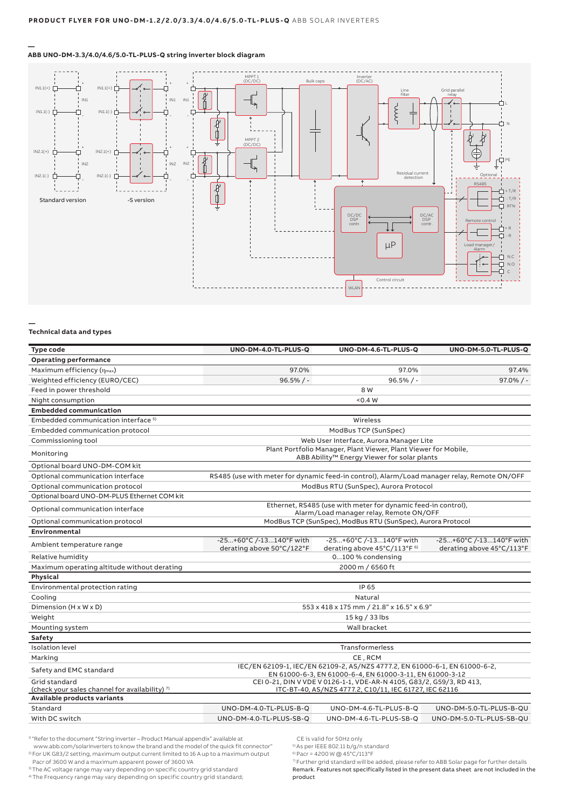

### **ABB UNO-DM-3.3/4.0/4.6/5.0-TL-PLUS-Q string inverter block diagram**

#### **Technical data and types**

**—**

**—**

| Type code                                                                                | UNO-DM-4.0-TL-PLUS-Q                                                                                                                   | UNO-DM-4.6-TL-PLUS-Q                                                                        | UNO-DM-5.0-TL-PLUS-Q                                 |  |
|------------------------------------------------------------------------------------------|----------------------------------------------------------------------------------------------------------------------------------------|---------------------------------------------------------------------------------------------|------------------------------------------------------|--|
| <b>Operating performance</b>                                                             |                                                                                                                                        |                                                                                             |                                                      |  |
| Maximum efficiency $(\eta_{max})$                                                        | 97.0%                                                                                                                                  | 97.0%                                                                                       | 97.4%                                                |  |
| Weighted efficiency (EURO/CEC)                                                           | $96.5%/ -$                                                                                                                             | $96.5%$ / -                                                                                 | $97.0\%$ / -                                         |  |
| Feed in power threshold                                                                  |                                                                                                                                        | 8 W                                                                                         |                                                      |  |
| Night consumption                                                                        |                                                                                                                                        | < 0.4 W                                                                                     |                                                      |  |
| <b>Embedded communication</b>                                                            |                                                                                                                                        |                                                                                             |                                                      |  |
| Embedded communication interface <sup>5)</sup>                                           |                                                                                                                                        | Wireless                                                                                    |                                                      |  |
| Embedded communication protocol                                                          | ModBus TCP (SunSpec)                                                                                                                   |                                                                                             |                                                      |  |
| Commissioning tool                                                                       | Web User Interface, Aurora Manager Lite                                                                                                |                                                                                             |                                                      |  |
| Monitoring                                                                               | Plant Portfolio Manager, Plant Viewer, Plant Viewer for Mobile,<br>ABB Ability <sup>™</sup> Energy Viewer for solar plants             |                                                                                             |                                                      |  |
| Optional board UNO-DM-COM kit                                                            |                                                                                                                                        |                                                                                             |                                                      |  |
| Optional communication interface                                                         |                                                                                                                                        | RS485 (use with meter for dynamic feed-in control), Alarm/Load manager relay, Remote ON/OFF |                                                      |  |
| Optional communication protocol                                                          |                                                                                                                                        | ModBus RTU (SunSpec), Aurora Protocol                                                       |                                                      |  |
| Optional board UNO-DM-PLUS Ethernet COM kit                                              |                                                                                                                                        |                                                                                             |                                                      |  |
| Optional communication interface                                                         | Ethernet, RS485 (use with meter for dynamic feed-in control),<br>Alarm/Load manager relay, Remote ON/OFF                               |                                                                                             |                                                      |  |
| Optional communication protocol                                                          |                                                                                                                                        | ModBus TCP (SunSpec), ModBus RTU (SunSpec), Aurora Protocol                                 |                                                      |  |
| Environmental                                                                            |                                                                                                                                        |                                                                                             |                                                      |  |
| Ambient temperature range                                                                | -25+60°C /-13140°F with<br>derating above 50°C/122°F                                                                                   | -25+60°C /-13140°F with<br>derating above 45°C/113°F <sup>6)</sup>                          | -25+60°C /-13140°F with<br>derating above 45°C/113°F |  |
| Relative humidity                                                                        |                                                                                                                                        | 0100 % condensing                                                                           |                                                      |  |
| Maximum operating altitude without derating                                              |                                                                                                                                        | 2000 m / 6560 ft                                                                            |                                                      |  |
| <b>Physical</b>                                                                          |                                                                                                                                        |                                                                                             |                                                      |  |
| Environmental protection rating                                                          |                                                                                                                                        | IP 65                                                                                       |                                                      |  |
| Cooling                                                                                  | Natural                                                                                                                                |                                                                                             |                                                      |  |
| Dimension (H x W x D)                                                                    | 553 x 418 x 175 mm / 21.8" x 16.5" x 6.9"                                                                                              |                                                                                             |                                                      |  |
| Weight                                                                                   | 15 kg / 33 lbs                                                                                                                         |                                                                                             |                                                      |  |
| Mounting system                                                                          | Wall bracket                                                                                                                           |                                                                                             |                                                      |  |
| Safety                                                                                   |                                                                                                                                        |                                                                                             |                                                      |  |
| <b>Isolation</b> level                                                                   | <b>Transformerless</b>                                                                                                                 |                                                                                             |                                                      |  |
| Marking                                                                                  | CE, RCM                                                                                                                                |                                                                                             |                                                      |  |
| Safety and EMC standard                                                                  | IEC/EN 62109-1, IEC/EN 62109-2, AS/NZS 4777.2, EN 61000-6-1, EN 61000-6-2,<br>EN 61000-6-3, EN 61000-6-4, EN 61000-3-11, EN 61000-3-12 |                                                                                             |                                                      |  |
| Grid standard                                                                            | CEI 0-21, DIN V VDE V 0126-1-1, VDE-AR-N 4105, G83/2, G59/3, RD 413,                                                                   |                                                                                             |                                                      |  |
| (check your sales channel for availability) <sup>7)</sup><br>Available products variants |                                                                                                                                        | ITC-BT-40, AS/NZS 4777.2, C10/11, IEC 61727, IEC 62116                                      |                                                      |  |
| Standard                                                                                 | UNO-DM-4.0-TL-PLUS-B-Q                                                                                                                 | UNO-DM-4.6-TL-PLUS-B-Q                                                                      | UNO-DM-5.0-TL-PLUS-B-QU                              |  |
| With DC switch                                                                           | UNO-DM-4.0-TL-PLUS-SB-Q                                                                                                                | UNO-DM-4.6-TL-PLUS-SB-Q                                                                     | UNO-DM-5.0-TL-PLUS-SB-QU                             |  |
|                                                                                          |                                                                                                                                        |                                                                                             |                                                      |  |

<sup>1)</sup> "Refer to the document "String inverter – Product Manual appendix" available at www.abb.com/solarinverters to know the brand and the model of the quick fit connector" 2) For UK G83/2 setting, maximum output current limited to 16 A up to a maximum output

Pacr of 3600 W and a maximum apparent power of 3600 VA

3) The AC voltage range may vary depending on specific country grid standard

4) The Frequency range may vary depending on specific country grid standard;

CE is valid for 50Hz only

5) As per IEEE 802.11 b/g/n standard

 $6$  Pacr = 4200 W @ 45°C/113°F

7) Further grid standard will be added, please refer to ABB Solar page for further details Remark. Features not specifically listed in the present data sheet are not included in the product